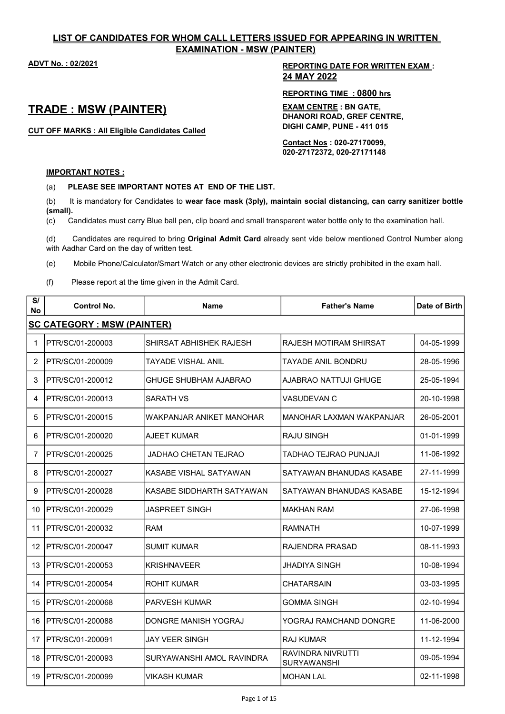## LIST OF CANDIDATES FOR WHOM CALL LETTERS ISSUED FOR APPEARING IN WRITTEN EXAMINATION - MSW (PAINTER)

## ADVT No. : 02/2021 REPORTING DATE FOR WRITTEN EXAM : 24 MAY 2022

# TRADE : MSW (PAINTER)

CUT OFF MARKS : All Eligible Candidates Called

REPORTING TIME : 0800 hrs

EXAM CENTRE : BN GATE, DHANORI ROAD, GREF CENTRE, DIGHI CAMP, PUNE - 411 015

Contact Nos : 020-27170099, 020-27172372, 020-27171148

### IMPORTANT NOTES :

(a) PLEASE SEE IMPORTANT NOTES AT END OF THE LIST.

(b) It is mandatory for Candidates to wear face mask (3ply), maintain social distancing, can carry sanitizer bottle (small).

(c) Candidates must carry Blue ball pen, clip board and small transparent water bottle only to the examination hall.

(d) Candidates are required to bring Original Admit Card already sent vide below mentioned Control Number along with Aadhar Card on the day of written test.

(e) Mobile Phone/Calculator/Smart Watch or any other electronic devices are strictly prohibited in the exam hall.

(f) Please report at the time given in the Admit Card.

| S/<br>No      | <b>Control No.</b>                 | <b>Name</b>               | <b>Father's Name</b>                           | Date of Birth |
|---------------|------------------------------------|---------------------------|------------------------------------------------|---------------|
|               | <b>SC CATEGORY : MSW (PAINTER)</b> |                           |                                                |               |
| 1             | PTR/SC/01-200003                   | SHIRSAT ABHISHEK RAJESH   | RAJESH MOTIRAM SHIRSAT                         | 04-05-1999    |
| $\mathcal{P}$ | PTR/SC/01-200009                   | TAYADF VISHAI ANII        | TAYADE ANIL BONDRU                             | 28-05-1996    |
| 3             | PTR/SC/01-200012                   | GHUGE SHUBHAM AJABRAO     | AJABRAO NATTUJI GHUGE                          | 25-05-1994    |
| 4             | PTR/SC/01-200013                   | <b>SARATH VS</b>          | <b>VASUDEVAN C</b>                             | 20-10-1998    |
| 5             | PTR/SC/01-200015                   | WAKPANJAR ANIKET MANOHAR  | MANOHAR LAXMAN WAKPANJAR                       | 26-05-2001    |
| 6             | IPTR/SC/01-200020                  | AJEET KUMAR               | <b>RAJU SINGH</b>                              | 01-01-1999    |
| 7             | PTR/SC/01-200025                   | JADHAO CHETAN TEJRAO      | TADHAO TEJRAO PUNJAJI                          | 11-06-1992    |
| 8             | PTR/SC/01-200027                   | KASABE VISHAL SATYAWAN    | SATYAWAN BHANUDAS KASABE                       | 27-11-1999    |
| 9             | PTR/SC/01-200028                   | KASABE SIDDHARTH SATYAWAN | SATYAWAN BHANUDAS KASABE                       | 15-12-1994    |
| 10            | PTR/SC/01-200029                   | <b>JASPREET SINGH</b>     | <b>MAKHAN RAM</b>                              | 27-06-1998    |
| 11            | PTR/SC/01-200032                   | <b>RAM</b>                | RAMNATH                                        | 10-07-1999    |
| 12            | IPTR/SC/01-200047                  | <b>SUMIT KUMAR</b>        | RAJENDRA PRASAD                                | 08-11-1993    |
| 13            | IPTR/SC/01-200053                  | <b>KRISHNAVEER</b>        | JHADIYA SINGH                                  | 10-08-1994    |
| 14            | PTR/SC/01-200054                   | <b>ROHIT KUMAR</b>        | <b>CHATARSAIN</b>                              | 03-03-1995    |
| 15            | IPTR/SC/01-200068                  | <b>PARVESH KUMAR</b>      | <b>GOMMA SINGH</b>                             | 02-10-1994    |
| 16            | IPTR/SC/01-200088                  | DONGRE MANISH YOGRAJ      | YOGRAJ RAMCHAND DONGRE                         | 11-06-2000    |
| 17            | PTR/SC/01-200091                   | JAY VEER SINGH            | <b>RAJ KUMAR</b>                               | 11-12-1994    |
| 18            | IPTR/SC/01-200093                  | SURYAWANSHI AMOL RAVINDRA | <b>RAVINDRA NIVRUTTI</b><br><b>SURYAWANSHI</b> | 09-05-1994    |
| 19            | PTR/SC/01-200099                   | VIKASH KUMAR              | <b>MOHAN LAL</b>                               | 02-11-1998    |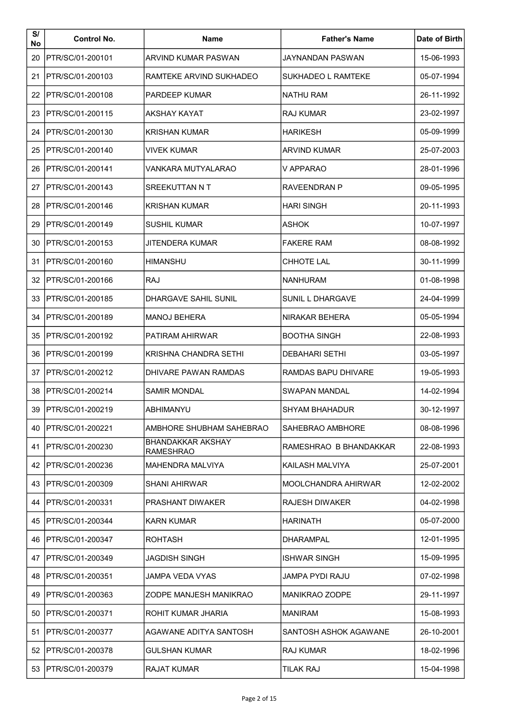| S/<br>No | <b>Control No.</b>    | <b>Name</b>                                  | <b>Father's Name</b>   | Date of Birth |
|----------|-----------------------|----------------------------------------------|------------------------|---------------|
| 20       | PTR/SC/01-200101      | <b>ARVIND KUMAR PASWAN</b>                   | JAYNANDAN PASWAN       | 15-06-1993    |
| 21       | PTR/SC/01-200103      | RAMTEKE ARVIND SUKHADEO                      | SUKHADEO L RAMTEKE     | 05-07-1994    |
| 22       | PTR/SC/01-200108      | <b>PARDEEP KUMAR</b>                         | <b>NATHU RAM</b>       | 26-11-1992    |
| 23       | PTR/SC/01-200115      | AKSHAY KAYAT                                 | RAJ KUMAR              | 23-02-1997    |
| 24       | PTR/SC/01-200130      | KRISHAN KUMAR                                | <b>HARIKESH</b>        | 05-09-1999    |
| 25       | PTR/SC/01-200140      | VIVEK KUMAR                                  | <b>ARVIND KUMAR</b>    | 25-07-2003    |
| 26       | PTR/SC/01-200141      | VANKARA MUTYALARAO                           | V APPARAO              | 28-01-1996    |
| 27       | PTR/SC/01-200143      | SREEKUTTAN N T                               | RAVEENDRAN P           | 09-05-1995    |
| 28       | PTR/SC/01-200146      | KRISHAN KUMAR                                | <b>HARI SINGH</b>      | 20-11-1993    |
| 29       | PTR/SC/01-200149      | SUSHIL KUMAR                                 | <b>ASHOK</b>           | 10-07-1997    |
| 30       | PTR/SC/01-200153      | JITENDERA KUMAR                              | <b>FAKERE RAM</b>      | 08-08-1992    |
| 31       | PTR/SC/01-200160      | HIMANSHU                                     | <b>CHHOTE LAL</b>      | 30-11-1999    |
| 32       | PTR/SC/01-200166      | <b>RAJ</b>                                   | NANHURAM               | 01-08-1998    |
| 33       | PTR/SC/01-200185      | DHARGAVE SAHIL SUNIL                         | SUNIL L DHARGAVE       | 24-04-1999    |
| 34       | PTR/SC/01-200189      | <b>MANOJ BEHERA</b>                          | NIRAKAR BEHERA         | 05-05-1994    |
| 35       | PTR/SC/01-200192      | PATIRAM AHIRWAR                              | <b>BOOTHA SINGH</b>    | 22-08-1993    |
| 36       | PTR/SC/01-200199      | KRISHNA CHANDRA SETHI                        | <b>DEBAHARI SETHI</b>  | 03-05-1997    |
| 37       | PTR/SC/01-200212      | DHIVARE PAWAN RAMDAS                         | RAMDAS BAPU DHIVARE    | 19-05-1993    |
| 38       | PTR/SC/01-200214      | <b>SAMIR MONDAL</b>                          | SWAPAN MANDAL          | 14-02-1994    |
|          | 39   PTR/SC/01-200219 | ABHIMANYU                                    | SHYAM BHAHADUR         | 30-12-1997    |
| 40       | PTR/SC/01-200221      | AMBHORE SHUBHAM SAHEBRAO                     | SAHEBRAO AMBHORE       | 08-08-1996    |
| 41       | PTR/SC/01-200230      | <b>BHANDAKKAR AKSHAY</b><br><b>RAMESHRAO</b> | RAMESHRAO B BHANDAKKAR | 22-08-1993    |
|          | 42   PTR/SC/01-200236 | MAHENDRA MALVIYA                             | KAILASH MALVIYA        | 25-07-2001    |
| 43       | PTR/SC/01-200309      | SHANI AHIRWAR                                | MOOLCHANDRA AHIRWAR    | 12-02-2002    |
| 44       | PTR/SC/01-200331      | PRASHANT DIWAKER                             | <b>RAJESH DIWAKER</b>  | 04-02-1998    |
| 45       | PTR/SC/01-200344      | KARN KUMAR                                   | HARINATH               | 05-07-2000    |
| 46       | PTR/SC/01-200347      | ROHTASH                                      | DHARAMPAL              | 12-01-1995    |
| 47       | PTR/SC/01-200349      | JAGDISH SINGH                                | <b>ISHWAR SINGH</b>    | 15-09-1995    |
| 48       | PTR/SC/01-200351      | JAMPA VEDA VYAS                              | JAMPA PYDI RAJU        | 07-02-1998    |
| 49       | PTR/SC/01-200363      | ZODPE MANJESH MANIKRAO                       | <b>MANIKRAO ZODPE</b>  | 29-11-1997    |
| 50       | PTR/SC/01-200371      | ROHIT KUMAR JHARIA                           | <b>MANIRAM</b>         | 15-08-1993    |
| 51       | PTR/SC/01-200377      | AGAWANE ADITYA SANTOSH                       | SANTOSH ASHOK AGAWANE  | 26-10-2001    |
| 52       | PTR/SC/01-200378      | GULSHAN KUMAR                                | <b>RAJ KUMAR</b>       | 18-02-1996    |
|          | 53   PTR/SC/01-200379 | <b>RAJAT KUMAR</b>                           | <b>TILAK RAJ</b>       | 15-04-1998    |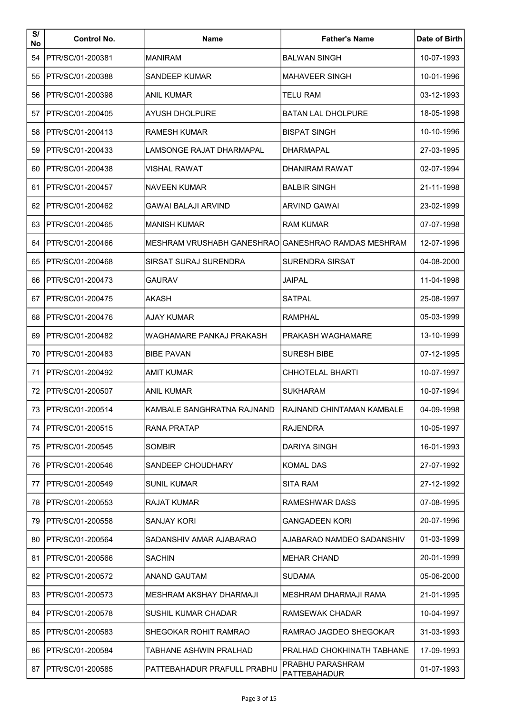| S/<br>No | <b>Control No.</b>      | <b>Name</b>                                         | <b>Father's Name</b>             | Date of Birth |
|----------|-------------------------|-----------------------------------------------------|----------------------------------|---------------|
| 54       | PTR/SC/01-200381        | <b>MANIRAM</b>                                      | <b>BALWAN SINGH</b>              | 10-07-1993    |
| 55       | PTR/SC/01-200388        | <b>SANDEEP KUMAR</b>                                | <b>MAHAVEER SINGH</b>            | 10-01-1996    |
| 56       | PTR/SC/01-200398        | ANIL KUMAR                                          | <b>TELU RAM</b>                  | 03-12-1993    |
| 57       | PTR/SC/01-200405        | AYUSH DHOLPURE                                      | BATAN LAL DHOLPURE               | 18-05-1998    |
| 58       | PTR/SC/01-200413        | RAMESH KUMAR                                        | <b>BISPAT SINGH</b>              | 10-10-1996    |
| 59       | PTR/SC/01-200433        | LAMSONGE RAJAT DHARMAPAL                            | DHARMAPAL                        | 27-03-1995    |
| 60       | PTR/SC/01-200438        | <b>VISHAL RAWAT</b>                                 | <b>DHANIRAM RAWAT</b>            | 02-07-1994    |
| 61       | PTR/SC/01-200457        | <b>NAVEEN KUMAR</b>                                 | <b>BALBIR SINGH</b>              | 21-11-1998    |
| 62       | PTR/SC/01-200462        | <b>GAWAI BALAJI ARVIND</b>                          | <b>ARVIND GAWAI</b>              | 23-02-1999    |
| 63       | PTR/SC/01-200465        | MANISH KUMAR                                        | RAM KUMAR                        | 07-07-1998    |
| 64       | PTR/SC/01-200466        | MESHRAM VRUSHABH GANESHRAOIGANESHRAO RAMDAS MESHRAM |                                  | 12-07-1996    |
| 65       | PTR/SC/01-200468        | SIRSAT SURAJ SURENDRA                               | <b>SURENDRA SIRSAT</b>           | 04-08-2000    |
| 66       | PTR/SC/01-200473        | <b>GAURAV</b>                                       | <b>JAIPAL</b>                    | 11-04-1998    |
| 67       | PTR/SC/01-200475        | AKASH                                               | <b>SATPAL</b>                    | 25-08-1997    |
| 68       | PTR/SC/01-200476        | AJAY KUMAR                                          | RAMPHAL                          | 05-03-1999    |
| 69       | PTR/SC/01-200482        | WAGHAMARE PANKAJ PRAKASH                            | PRAKASH WAGHAMARE                | 13-10-1999    |
| 70       | PTR/SC/01-200483        | <b>BIBE PAVAN</b>                                   | <b>SURESH BIBE</b>               | 07-12-1995    |
| 71       | PTR/SC/01-200492        | <b>AMIT KUMAR</b>                                   | CHHOTELAL BHARTI                 | 10-07-1997    |
| 72       | PTR/SC/01-200507        | <b>ANIL KUMAR</b>                                   | <b>SUKHARAM</b>                  | 10-07-1994    |
|          | 73   PTR/SC/01-200514   | KAMBALE SANGHRATNA RAJNAND                          | RAJNAND CHINTAMAN KAMBALE        | 04-09-1998    |
| 74       | <b>PTR/SC/01-200515</b> | <b>RANA PRATAP</b>                                  | <b>RAJENDRA</b>                  | 10-05-1997    |
| 75       | PTR/SC/01-200545        | <b>SOMBIR</b>                                       | DARIYA SINGH                     | 16-01-1993    |
| 76.      | PTR/SC/01-200546        | SANDEEP CHOUDHARY                                   | <b>KOMAL DAS</b>                 | 27-07-1992    |
| 77       | PTR/SC/01-200549        | SUNIL KUMAR                                         | <b>SITA RAM</b>                  | 27-12-1992    |
| 78       | PTR/SC/01-200553        | RAJAT KUMAR                                         | RAMESHWAR DASS                   | 07-08-1995    |
| 79       | PTR/SC/01-200558        | <b>SANJAY KORI</b>                                  | <b>GANGADEEN KORI</b>            | 20-07-1996    |
| 80       | PTR/SC/01-200564        | SADANSHIV AMAR AJABARAO                             | AJABARAO NAMDEO SADANSHIV        | 01-03-1999    |
| 81       | PTR/SC/01-200566        | <b>SACHIN</b>                                       | <b>MEHAR CHAND</b>               | 20-01-1999    |
| 82       | PTR/SC/01-200572        | ANAND GAUTAM                                        | SUDAMA                           | 05-06-2000    |
| 83       | PTR/SC/01-200573        | MESHRAM AKSHAY DHARMAJI                             | MESHRAM DHARMAJI RAMA            | 21-01-1995    |
| 84       | PTR/SC/01-200578        | SUSHIL KUMAR CHADAR                                 | RAMSEWAK CHADAR                  | 10-04-1997    |
| 85       | PTR/SC/01-200583        | SHEGOKAR ROHIT RAMRAO                               | RAMRAO JAGDEO SHEGOKAR           | 31-03-1993    |
| 86       | PTR/SC/01-200584        | TABHANE ASHWIN PRALHAD                              | PRALHAD CHOKHINATH TABHANE       | 17-09-1993    |
| 87       | PTR/SC/01-200585        | PATTEBAHADUR PRAFULL PRABHU                         | PRABHU PARASHRAM<br>PATTEBAHADUR | 01-07-1993    |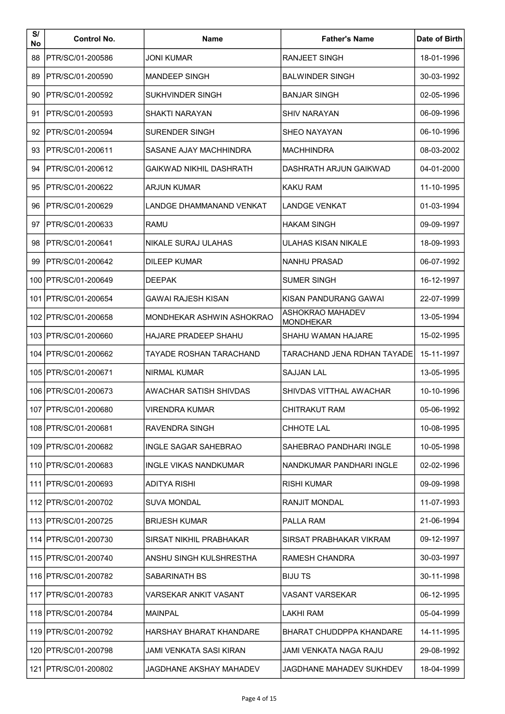| S/<br>No | <b>Control No.</b>      | <b>Name</b>                    | <b>Father's Name</b>                        | Date of Birth |
|----------|-------------------------|--------------------------------|---------------------------------------------|---------------|
| 88       | PTR/SC/01-200586        | <b>JONI KUMAR</b>              | <b>RANJEET SINGH</b>                        | 18-01-1996    |
| 89       | PTR/SC/01-200590        | <b>MANDEEP SINGH</b>           | <b>BALWINDER SINGH</b>                      | 30-03-1992    |
| 90       | PTR/SC/01-200592        | SUKHVINDER SINGH               | <b>BANJAR SINGH</b>                         | 02-05-1996    |
| 91       | <b>PTR/SC/01-200593</b> | SHAKTI NARAYAN                 | <b>SHIV NARAYAN</b>                         | 06-09-1996    |
| 92       | PTR/SC/01-200594        | <b>SURENDER SINGH</b>          | <b>SHEO NAYAYAN</b>                         | 06-10-1996    |
| 93       | PTR/SC/01-200611        | SASANE AJAY MACHHINDRA         | <b>MACHHINDRA</b>                           | 08-03-2002    |
| 94       | PTR/SC/01-200612        | GAIKWAD NIKHIL DASHRATH        | DASHRATH ARJUN GAIKWAD                      | 04-01-2000    |
| 95       | PTR/SC/01-200622        | ARJUN KUMAR                    | KAKU RAM                                    | 11-10-1995    |
| 96       | PTR/SC/01-200629        | LANDGE DHAMMANAND VENKAT       | <b>LANDGE VENKAT</b>                        | 01-03-1994    |
| 97       | PTR/SC/01-200633        | RAMU                           | <b>HAKAM SINGH</b>                          | 09-09-1997    |
| 98       | PTR/SC/01-200641        | NIKALE SURAJ ULAHAS            | <b>ULAHAS KISAN NIKALE</b>                  | 18-09-1993    |
| 99       | PTR/SC/01-200642        | <b>DILEEP KUMAR</b>            | <b>NANHU PRASAD</b>                         | 06-07-1992    |
|          | 100 PTR/SC/01-200649    | <b>DEEPAK</b>                  | <b>SUMER SINGH</b>                          | 16-12-1997    |
|          | 101   PTR/SC/01-200654  | <b>GAWAI RAJESH KISAN</b>      | KISAN PANDURANG GAWAI                       | 22-07-1999    |
|          | 102   PTR/SC/01-200658  | MONDHEKAR ASHWIN ASHOKRAO      | <b>ASHOKRAO MAHADEV</b><br><b>MONDHEKAR</b> | 13-05-1994    |
|          | 103 PTR/SC/01-200660    | <b>HAJARE PRADEEP SHAHU</b>    | SHAHU WAMAN HAJARE                          | 15-02-1995    |
|          | 104   PTR/SC/01-200662  | TAYADE ROSHAN TARACHAND        | TARACHAND JENA RDHAN TAYADE                 | 15-11-1997    |
|          | 105   PTR/SC/01-200671  | <b>NIRMAL KUMAR</b>            | <b>SAJJAN LAL</b>                           | 13-05-1995    |
|          | 106 PTR/SC/01-200673    | AWACHAR SATISH SHIVDAS         | SHIVDAS VITTHAL AWACHAR                     | 10-10-1996    |
|          | 107   PTR/SC/01-200680  | <b>VIRENDRA KUMAR</b>          | CHITRAKUT RAM                               | 05-06-1992    |
|          | 108   PTR/SC/01-200681  | RAVENDRA SINGH                 | <b>CHHOTE LAL</b>                           | 10-08-1995    |
|          | 109 PTR/SC/01-200682    | INGLE SAGAR SAHEBRAO           | SAHEBRAO PANDHARI INGLE                     | 10-05-1998    |
|          | 110   PTR/SC/01-200683  | <b>INGLE VIKAS NANDKUMAR</b>   | NANDKUMAR PANDHARI INGLE                    | 02-02-1996    |
|          | 111   PTR/SC/01-200693  | ADITYA RISHI                   | RISHI KUMAR                                 | 09-09-1998    |
|          | 112   PTR/SC/01-200702  | SUVA MONDAL                    | RANJIT MONDAL                               | 11-07-1993    |
|          | 113 PTR/SC/01-200725    | <b>BRIJESH KUMAR</b>           | PALLA RAM                                   | 21-06-1994    |
|          | 114 PTR/SC/01-200730    | SIRSAT NIKHIL PRABHAKAR        | SIRSAT PRABHAKAR VIKRAM                     | 09-12-1997    |
|          | 115   PTR/SC/01-200740  | ANSHU SINGH KULSHRESTHA        | <b>RAMESH CHANDRA</b>                       | 30-03-1997    |
|          | 116 PTR/SC/01-200782    | SABARINATH BS                  | <b>BIJUTS</b>                               | 30-11-1998    |
|          | 117   PTR/SC/01-200783  | VARSEKAR ANKIT VASANT          | VASANT VARSEKAR                             | 06-12-1995    |
|          | 118   PTR/SC/01-200784  | <b>MAINPAL</b>                 | LAKHI RAM                                   | 05-04-1999    |
|          | 119   PTR/SC/01-200792  | <b>HARSHAY BHARAT KHANDARE</b> | <b>BHARAT CHUDDPPA KHANDARE</b>             | 14-11-1995    |
|          | 120 PTR/SC/01-200798    | JAMI VENKATA SASI KIRAN        | JAMI VENKATA NAGA RAJU                      | 29-08-1992    |
|          | 121   PTR/SC/01-200802  | JAGDHANE AKSHAY MAHADEV        | JAGDHANE MAHADEV SUKHDEV                    | 18-04-1999    |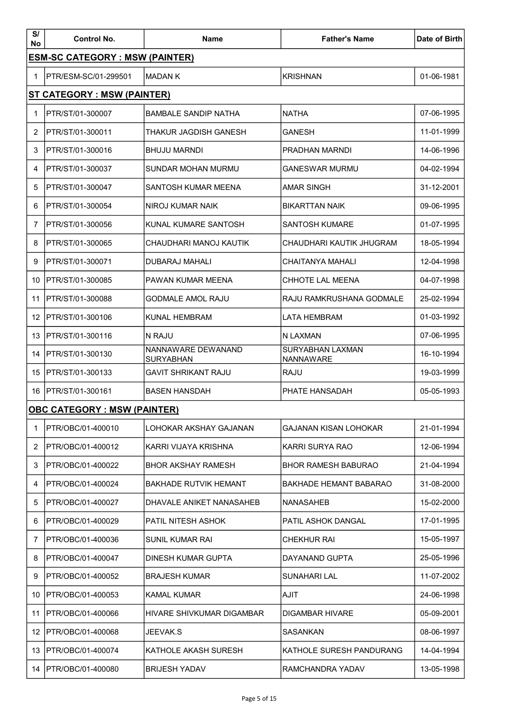| S/<br>No | <b>Control No.</b>                     | <b>Name</b>                            | <b>Father's Name</b>                 | Date of Birth |
|----------|----------------------------------------|----------------------------------------|--------------------------------------|---------------|
|          | <b>ESM-SC CATEGORY : MSW (PAINTER)</b> |                                        |                                      |               |
| 1        | PTR/ESM-SC/01-299501                   | <b>MADAN K</b>                         | <b>KRISHNAN</b>                      | 01-06-1981    |
|          | ST CATEGORY : MSW (PAINTER)            |                                        |                                      |               |
| 1        | PTR/ST/01-300007                       | <b>BAMBALE SANDIP NATHA</b>            | <b>NATHA</b>                         | 07-06-1995    |
| 2        | PTR/ST/01-300011                       | <b>THAKUR JAGDISH GANESH</b>           | <b>GANESH</b>                        | 11-01-1999    |
| 3        | PTR/ST/01-300016                       | <b>BHUJU MARNDI</b>                    | PRADHAN MARNDI                       | 14-06-1996    |
| 4        | PTR/ST/01-300037                       | SUNDAR MOHAN MURMU                     | <b>GANESWAR MURMU</b>                | 04-02-1994    |
| 5        | PTR/ST/01-300047                       | SANTOSH KUMAR MEENA                    | <b>AMAR SINGH</b>                    | 31-12-2001    |
| 6        | PTR/ST/01-300054                       | NIROJ KUMAR NAIK                       | <b>BIKARTTAN NAIK</b>                | 09-06-1995    |
| 7        | PTR/ST/01-300056                       | KUNAL KUMARE SANTOSH                   | SANTOSH KUMARE                       | 01-07-1995    |
| 8        | PTR/ST/01-300065                       | CHAUDHARI MANOJ KAUTIK                 | CHAUDHARI KAUTIK JHUGRAM             | 18-05-1994    |
| 9        | PTR/ST/01-300071                       | <b>DUBARAJ MAHALI</b>                  | CHAITANYA MAHALI                     | 12-04-1998    |
| 10       | PTR/ST/01-300085                       | PAWAN KUMAR MEENA                      | CHHOTE LAL MEENA                     | 04-07-1998    |
| 11       | PTR/ST/01-300088                       | <b>GODMALE AMOL RAJU</b>               | RAJU RAMKRUSHANA GODMALE             | 25-02-1994    |
| 12       | PTR/ST/01-300106                       | KUNAL HEMBRAM                          | <b>LATA HEMBRAM</b>                  | 01-03-1992    |
| 13       | PTR/ST/01-300116                       | N RAJU                                 | N LAXMAN                             | 07-06-1995    |
| 14       | PTR/ST/01-300130                       | NANNAWARE DEWANAND<br><b>SURYABHAN</b> | <b>SURYABHAN LAXMAN</b><br>NANNAWARE | 16-10-1994    |
| 15       | PTR/ST/01-300133                       | <b>GAVIT SHRIKANT RAJU</b>             | <b>RAJU</b>                          | 19-03-1999    |
| 16       | PTR/ST/01-300161                       | <b>BASEN HANSDAH</b>                   | PHATE HANSADAH                       | 05-05-1993    |
|          | <b>OBC CATEGORY : MSW (PAINTER)</b>    |                                        |                                      |               |
| 1        | PTR/OBC/01-400010                      | LOHOKAR AKSHAY GAJANAN                 | <b>GAJANAN KISAN LOHOKAR</b>         | 21-01-1994    |
| 2        | PTR/OBC/01-400012                      | KARRI VIJAYA KRISHNA                   | KARRI SURYA RAO                      | 12-06-1994    |
| 3        | PTR/OBC/01-400022                      | <b>BHOR AKSHAY RAMESH</b>              | <b>BHOR RAMESH BABURAO</b>           | 21-04-1994    |
| 4        | PTR/OBC/01-400024                      | <b>BAKHADE RUTVIK HEMANT</b>           | BAKHADE HEMANT BABARAO               | 31-08-2000    |
| 5        | PTR/OBC/01-400027                      | DHAVALE ANIKET NANASAHEB               | NANASAHEB                            | 15-02-2000    |
| 6        | PTR/OBC/01-400029                      | PATIL NITESH ASHOK                     | PATIL ASHOK DANGAL                   | 17-01-1995    |
| 7        | PTR/OBC/01-400036                      | SUNIL KUMAR RAI                        | <b>CHEKHUR RAI</b>                   | 15-05-1997    |
| 8        | PTR/OBC/01-400047                      | DINESH KUMAR GUPTA                     | DAYANAND GUPTA                       | 25-05-1996    |
| 9        | PTR/OBC/01-400052                      | <b>BRAJESH KUMAR</b>                   | <b>SUNAHARI LAL</b>                  | 11-07-2002    |
| 10       | PTR/OBC/01-400053                      | KAMAL KUMAR                            | <b>AJIT</b>                          | 24-06-1998    |
| 11       | PTR/OBC/01-400066                      | HIVARE SHIVKUMAR DIGAMBAR              | <b>DIGAMBAR HIVARE</b>               | 05-09-2001    |
| 12       | PTR/OBC/01-400068                      | JEEVAK.S                               | SASANKAN                             | 08-06-1997    |
| 13       | PTR/OBC/01-400074                      | KATHOLE AKASH SURESH                   | KATHOLE SURESH PANDURANG             | 14-04-1994    |
| 14       | PTR/OBC/01-400080                      | <b>BRIJESH YADAV</b>                   | RAMCHANDRA YADAV                     | 13-05-1998    |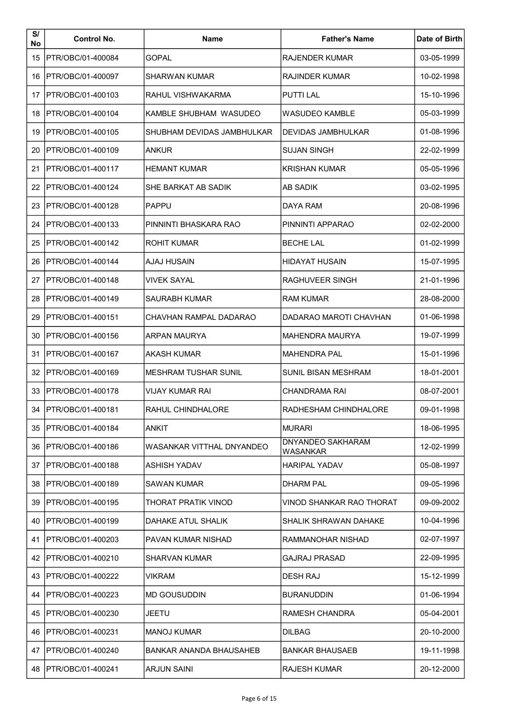| S/<br>No | <b>Control No.</b>        | <b>Name</b>                    | <b>Father's Name</b>                 | Date of Birth |
|----------|---------------------------|--------------------------------|--------------------------------------|---------------|
| 15       | PTR/OBC/01-400084         | <b>GOPAL</b>                   | <b>RAJENDER KUMAR</b>                | 03-05-1999    |
| 16       | PTR/OBC/01-400097         | <b>SHARWAN KUMAR</b>           | <b>RAJINDER KUMAR</b>                | 10-02-1998    |
| 17       | PTR/OBC/01-400103         | RAHUL VISHWAKARMA              | <b>PUTTI LAL</b>                     | 15-10-1996    |
| 18       | PTR/OBC/01-400104         | KAMBLE SHUBHAM WASUDEO         | <b>WASUDEO KAMBLE</b>                | 05-03-1999    |
| 19       | <b>IPTR/OBC/01-400105</b> | SHUBHAM DEVIDAS JAMBHULKAR     | DEVIDAS JAMBHULKAR                   | 01-08-1996    |
| 20       | PTR/OBC/01-400109         | ANKUR                          | <b>SUJAN SINGH</b>                   | 22-02-1999    |
| 21       | PTR/OBC/01-400117         | <b>HEMANT KUMAR</b>            | KRISHAN KUMAR                        | 05-05-1996    |
| 22       | IPTR/OBC/01-400124        | SHE BARKAT AB SADIK            | AB SADIK                             | 03-02-1995    |
| 23       | PTR/OBC/01-400128         | <b>PAPPU</b>                   | DAYA RAM                             | 20-08-1996    |
| 24       | IPTR/OBC/01-400133        | PINNINTI BHASKARA RAO          | PINNINTI APPARAO                     | 02-02-2000    |
| 25       | PTR/OBC/01-400142         | <b>ROHIT KUMAR</b>             | <b>BECHE LAL</b>                     | 01-02-1999    |
| 26       | PTR/OBC/01-400144         | <b>AJAJ HUSAIN</b>             | <b>HIDAYAT HUSAIN</b>                | 15-07-1995    |
| 27       | PTR/OBC/01-400148         | <b>VIVEK SAYAL</b>             | RAGHUVEER SINGH                      | 21-01-1996    |
| 28       | PTR/OBC/01-400149         | <b>SAURABH KUMAR</b>           | <b>RAM KUMAR</b>                     | 28-08-2000    |
| 29       | PTR/OBC/01-400151         | CHAVHAN RAMPAL DADARAO         | DADARAO MAROTI CHAVHAN               | 01-06-1998    |
| 30       | <b>IPTR/OBC/01-400156</b> | <b>ARPAN MAURYA</b>            | <b>MAHENDRA MAURYA</b>               | 19-07-1999    |
| 31       | PTR/OBC/01-400167         | <b>AKASH KUMAR</b>             | <b>MAHENDRA PAL</b>                  | 15-01-1996    |
| 32       | PTR/OBC/01-400169         | <b>MESHRAM TUSHAR SUNIL</b>    | SUNIL BISAN MESHRAM                  | 18-01-2001    |
| 33       | IPTR/OBC/01-400178        | VIJAY KUMAR RAI                | CHANDRAMA RAI                        | 08-07-2001    |
|          | 34   PTR/OBC/01-400181    | RAHUL CHINDHALORE              | RADHESHAM CHINDHALORE                | 09-01-1998    |
|          | 35 IPTR/OBC/01-400184     | <b>ANKIT</b>                   | <b>MURARI</b>                        | 18-06-1995    |
| 36       | PTR/OBC/01-400186         | WASANKAR VITTHAL DNYANDEO      | <b>DNYANDEO SAKHARAM</b><br>WASANKAR | 12-02-1999    |
| 37       | PTR/OBC/01-400188         | <b>ASHISH YADAV</b>            | <b>HARIPAL YADAV</b>                 | 05-08-1997    |
| 38       | <b>IPTR/OBC/01-400189</b> | SAWAN KUMAR                    | <b>DHARM PAL</b>                     | 09-05-1996    |
| 39       | PTR/OBC/01-400195         | THORAT PRATIK VINOD            | VINOD SHANKAR RAO THORAT             | 09-09-2002    |
| 40       | PTR/OBC/01-400199         | DAHAKE ATUL SHALIK             | SHALIK SHRAWAN DAHAKE                | 10-04-1996    |
| 41       | PTR/OBC/01-400203         | PAVAN KUMAR NISHAD             | RAMMANOHAR NISHAD                    | 02-07-1997    |
| 42       | PTR/OBC/01-400210         | SHARVAN KUMAR                  | <b>GAJRAJ PRASAD</b>                 | 22-09-1995    |
| 43.      | PTR/OBC/01-400222         | VIKRAM                         | <b>DESH RAJ</b>                      | 15-12-1999    |
| 44       | <b>IPTR/OBC/01-400223</b> | <b>MD GOUSUDDIN</b>            | <b>BURANUDDIN</b>                    | 01-06-1994    |
| 45       | PTR/OBC/01-400230         | <b>JEETU</b>                   | RAMESH CHANDRA                       | 05-04-2001    |
| 46       | PTR/OBC/01-400231         | <b>MANOJ KUMAR</b>             | <b>DILBAG</b>                        | 20-10-2000    |
| 47       | IPTR/OBC/01-400240        | <b>BANKAR ANANDA BHAUSAHEB</b> | <b>BANKAR BHAUSAEB</b>               | 19-11-1998    |
|          | 48   PTR/OBC/01-400241    | <b>ARJUN SAINI</b>             | <b>RAJESH KUMAR</b>                  | 20-12-2000    |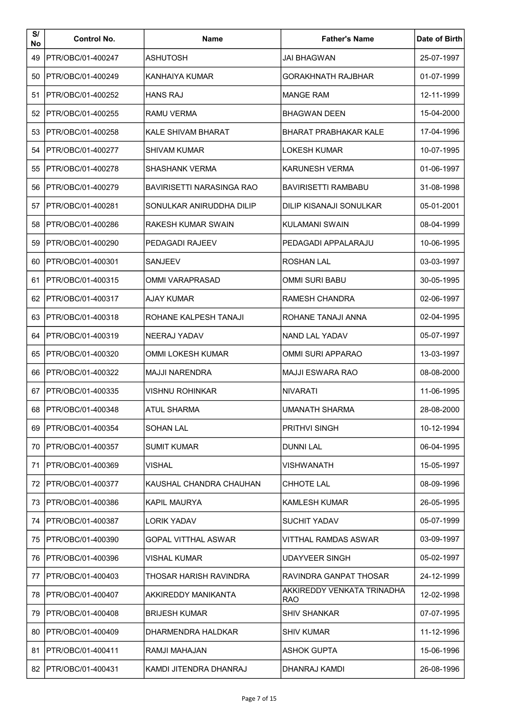| S/<br>No | <b>Control No.</b>        | <b>Name</b>               | <b>Father's Name</b>              | Date of Birth |
|----------|---------------------------|---------------------------|-----------------------------------|---------------|
| 49       | <b>IPTR/OBC/01-400247</b> | <b>ASHUTOSH</b>           | <b>JAI BHAGWAN</b>                | 25-07-1997    |
| 50       | PTR/OBC/01-400249         | KANHAIYA KUMAR            | <b>GORAKHNATH RAJBHAR</b>         | 01-07-1999    |
| 51       | PTR/OBC/01-400252         | <b>HANS RAJ</b>           | <b>MANGE RAM</b>                  | 12-11-1999    |
| 52       | <b>IPTR/OBC/01-400255</b> | RAMU VERMA                | <b>BHAGWAN DEEN</b>               | 15-04-2000    |
| 53       | PTR/OBC/01-400258         | KAI F SHIVAM BHARAT       | <b>BHARAT PRABHAKAR KALE</b>      | 17-04-1996    |
| 54       | IPTR/OBC/01-400277        | <b>SHIVAM KUMAR</b>       | <b>LOKESH KUMAR</b>               | 10-07-1995    |
| 55       | PTR/OBC/01-400278         | <b>SHASHANK VERMA</b>     | KARUNESH VERMA                    | 01-06-1997    |
| 56       | IPTR/OBC/01-400279        | BAVIRISETTI NARASINGA RAO | <b>BAVIRISETTI RAMBABU</b>        | 31-08-1998    |
| 57       | PTR/OBC/01-400281         | SONULKAR ANIRUDDHA DILIP  | DILIP KISANAJI SONULKAR           | 05-01-2001    |
| 58       | IPTR/OBC/01-400286        | RAKESH KUMAR SWAIN        | KULAMANI SWAIN                    | 08-04-1999    |
| 59       | PTR/OBC/01-400290         | <b>PEDAGADI RAJEEV</b>    | PEDAGADI APPALARAJU               | 10-06-1995    |
| 60       | PTR/OBC/01-400301         | SANJEEV                   | <b>ROSHAN LAL</b>                 | 03-03-1997    |
| 61       | IPTR/OBC/01-400315        | OMMI VARAPRASAD           | <b>OMMI SURI BABU</b>             | 30-05-1995    |
| 62       | PTR/OBC/01-400317         | AJAY KUMAR                | <b>RAMESH CHANDRA</b>             | 02-06-1997    |
| 63       | IPTR/OBC/01-400318        | ROHANE KALPESH TANAJI     | ROHANE TANAJI ANNA                | 02-04-1995    |
| 64       | PTR/OBC/01-400319         | <b>NEERAJ YADAV</b>       | <b>NAND LAL YADAV</b>             | 05-07-1997    |
| 65       | PTR/OBC/01-400320         | OMMI LOKESH KUMAR         | <b>OMMI SURI APPARAO</b>          | 13-03-1997    |
| 66       | PTR/OBC/01-400322         | <b>MAJJI NARENDRA</b>     | <b>MAJJI ESWARA RAO</b>           | 08-08-2000    |
| 67       | IPTR/OBC/01-400335        | VISHNU ROHINKAR           | <b>NIVARATI</b>                   | 11-06-1995    |
|          | 68   PTR/OBC/01-400348    | <b>ATUL SHARMA</b>        | <b>UMANATH SHARMA</b>             | 28-08-2000    |
| 69       | PTR/OBC/01-400354         | <b>SOHAN LAL</b>          | <b>PRITHVI SINGH</b>              | 10-12-1994    |
| 70       | <b>IPTR/OBC/01-400357</b> | <b>SUMIT KUMAR</b>        | DUNNI LAL                         | 06-04-1995    |
| 71       | PTR/OBC/01-400369         | VISHAL                    | VISHWANATH                        | 15-05-1997    |
| 72.      | IPTR/OBC/01-400377        | KAUSHAL CHANDRA CHAUHAN   | <b>CHHOTE LAL</b>                 | 08-09-1996    |
| 73       | PTR/OBC/01-400386         | KAPIL MAURYA              | <b>KAMLESH KUMAR</b>              | 26-05-1995    |
| 74       | IPTR/OBC/01-400387        | <b>LORIK YADAV</b>        | <b>SUCHIT YADAV</b>               | 05-07-1999    |
| 75       | PTR/OBC/01-400390         | GOPAL VITTHAL ASWAR       | VITTHAL RAMDAS ASWAR              | 03-09-1997    |
| 76       | PTR/OBC/01-400396         | VISHAL KUMAR              | <b>UDAYVEER SINGH</b>             | 05-02-1997    |
| 77       | PTR/OBC/01-400403         | THOSAR HARISH RAVINDRA    | RAVINDRA GANPAT THOSAR            | 24-12-1999    |
| 78       | IPTR/OBC/01-400407        | AKKIREDDY MANIKANTA       | AKKIREDDY VENKATA TRINADHA<br>RAO | 12-02-1998    |
| 79       | PTR/OBC/01-400408         | <b>BRIJESH KUMAR</b>      | <b>SHIV SHANKAR</b>               | 07-07-1995    |
| 80       | PTR/OBC/01-400409         | DHARMENDRA HALDKAR        | <b>SHIV KUMAR</b>                 | 11-12-1996    |
| 81       | IPTR/OBC/01-400411        | RAMJI MAHAJAN             | <b>ASHOK GUPTA</b>                | 15-06-1996    |
|          | 82   PTR/OBC/01-400431    | KAMDI JITENDRA DHANRAJ    | DHANRAJ KAMDI                     | 26-08-1996    |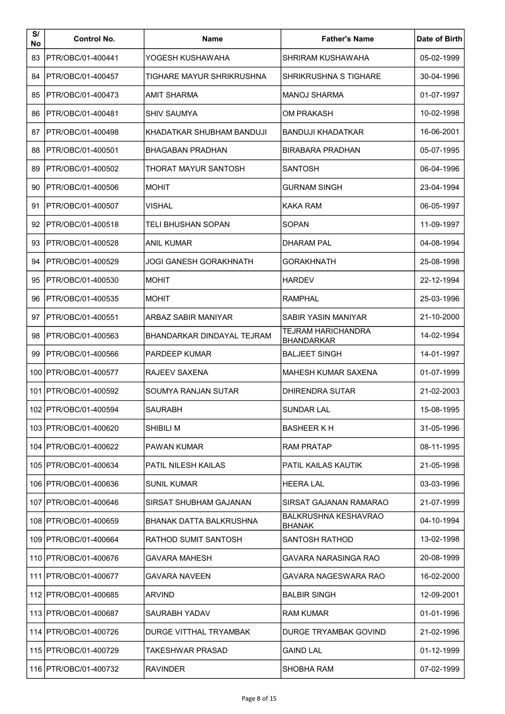| S/<br>No | <b>Control No.</b>        | <b>Name</b>                       | <b>Father's Name</b>                           | Date of Birth |
|----------|---------------------------|-----------------------------------|------------------------------------------------|---------------|
| 83       | PTR/OBC/01-400441         | YOGESH KUSHAWAHA                  | SHRIRAM KUSHAWAHA                              | 05-02-1999    |
| 84       | PTR/OBC/01-400457         | TIGHARE MAYUR SHRIKRUSHNA         | <b>SHRIKRUSHNA S TIGHARE</b>                   | 30-04-1996    |
| 85       | PTR/OBC/01-400473         | AMIT SHARMA                       | <b>MANOJ SHARMA</b>                            | 01-07-1997    |
| 86       | PTR/OBC/01-400481         | <b>SHIV SAUMYA</b>                | <b>OM PRAKASH</b>                              | 10-02-1998    |
| 87       | PTR/OBC/01-400498         | KHADATKAR SHUBHAM BANDUJI         | <b>BANDUJI KHADATKAR</b>                       | 16-06-2001    |
| 88       | PTR/OBC/01-400501         | <b>BHAGABAN PRADHAN</b>           | <b>BIRABARA PRADHAN</b>                        | 05-07-1995    |
| 89       | PTR/OBC/01-400502         | THORAT MAYUR SANTOSH              | SANTOSH                                        | 06-04-1996    |
| 90       | IPTR/OBC/01-400506        | <b>MOHIT</b>                      | GURNAM SINGH                                   | 23-04-1994    |
| 91       | PTR/OBC/01-400507         | <b>VISHAL</b>                     | <b>KAKA RAM</b>                                | 06-05-1997    |
| 92       | PTR/OBC/01-400518         | TELI BHUSHAN SOPAN                | <b>SOPAN</b>                                   | 11-09-1997    |
| 93       | PTR/OBC/01-400528         | <b>ANIL KUMAR</b>                 | <b>DHARAM PAL</b>                              | 04-08-1994    |
| 94       | PTR/OBC/01-400529         | <b>JOGI GANESH GORAKHNATH</b>     | <b>GORAKHNATH</b>                              | 25-08-1998    |
| 95       | PTR/OBC/01-400530         | <b>MOHIT</b>                      | <b>HARDEV</b>                                  | 22-12-1994    |
| 96       | PTR/OBC/01-400535         | <b>MOHIT</b>                      | <b>RAMPHAL</b>                                 | 25-03-1996    |
| 97       | <b>IPTR/OBC/01-400551</b> | ARBAZ SABIR MANIYAR               | SABIR YASIN MANIYAR                            | 21-10-2000    |
| 98       | PTR/OBC/01-400563         | <b>BHANDARKAR DINDAYAL TEJRAM</b> | <b>TEJRAM HARICHANDRA</b><br><b>BHANDARKAR</b> | 14-02-1994    |
| 99       | PTR/OBC/01-400566         | PARDEEP KUMAR                     | <b>BALJEET SINGH</b>                           | 14-01-1997    |
|          | 100   PTR/OBC/01-400577   | RAJEEV SAXENA                     | <b>MAHESH KUMAR SAXENA</b>                     | 01-07-1999    |
|          | 101   PTR/OBC/01-400592   | SOUMYA RANJAN SUTAR               | DHIRENDRA SUTAR                                | 21-02-2003    |
|          | 102   PTR/OBC/01-400594   | <b>SAURABH</b>                    | <b>SUNDAR LAL</b>                              | 15-08-1995    |
|          | 103 PTR/OBC/01-400620     | SHIBILI M                         | <b>BASHEER K H</b>                             | 31-05-1996    |
|          | 104   PTR/OBC/01-400622   | PAWAN KUMAR                       | RAM PRATAP                                     | 08-11-1995    |
|          | 105   PTR/OBC/01-400634   | <b>PATIL NILESH KAILAS</b>        | PATIL KAILAS KAUTIK                            | 21-05-1998    |
|          | 106 PTR/OBC/01-400636     | SUNIL KUMAR                       | <b>HEERA LAL</b>                               | 03-03-1996    |
|          | 107   PTR/OBC/01-400646   | SIRSAT SHUBHAM GAJANAN            | SIRSAT GAJANAN RAMARAO                         | 21-07-1999    |
|          | 108   PTR/OBC/01-400659   | BHANAK DATTA BALKRUSHNA           | <b>BALKRUSHNA KESHAVRAO</b><br><b>BHANAK</b>   | 04-10-1994    |
|          | 109 PTR/OBC/01-400664     | <b>RATHOD SUMIT SANTOSH</b>       | SANTOSH RATHOD                                 | 13-02-1998    |
|          | 110   PTR/OBC/01-400676   | GAVARA MAHESH                     | GAVARA NARASINGA RAO                           | 20-08-1999    |
|          | 111   PTR/OBC/01-400677   | GAVARA NAVEEN                     | GAVARA NAGESWARA RAO                           | 16-02-2000    |
|          | 112 PTR/OBC/01-400685     | ARVIND                            | <b>BALBIR SINGH</b>                            | 12-09-2001    |
|          | 113 PTR/OBC/01-400687     | SAURABH YADAV                     | RAM KUMAR                                      | 01-01-1996    |
|          | 114   PTR/OBC/01-400726   | <b>DURGE VITTHAL TRYAMBAK</b>     | <b>DURGE TRYAMBAK GOVIND</b>                   | 21-02-1996    |
|          | 115   PTR/OBC/01-400729   | TAKESHWAR PRASAD                  | GAIND LAL                                      | 01-12-1999    |
|          | 116   PTR/OBC/01-400732   | <b>RAVINDER</b>                   | <b>SHOBHA RAM</b>                              | 07-02-1999    |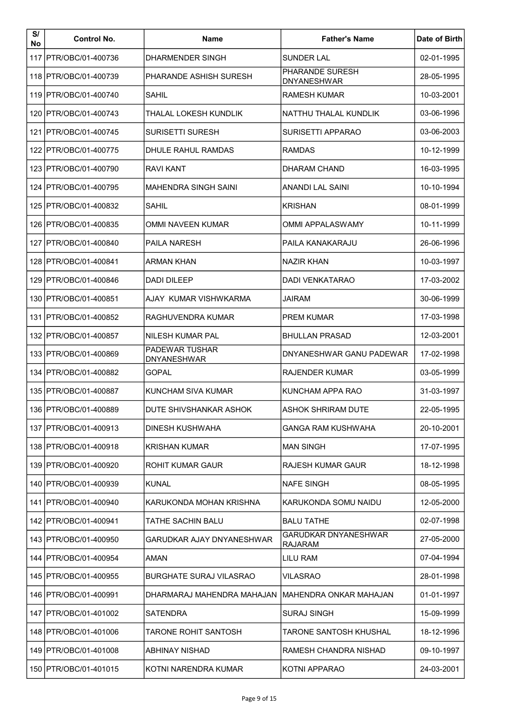| S/<br>No | <b>Control No.</b>      | <b>Name</b>                                 | <b>Father's Name</b>                          | Date of Birth |
|----------|-------------------------|---------------------------------------------|-----------------------------------------------|---------------|
|          | 117 PTR/OBC/01-400736   | <b>DHARMENDER SINGH</b>                     | <b>SUNDER LAL</b>                             | 02-01-1995    |
|          | 118   PTR/OBC/01-400739 | PHARANDE ASHISH SURESH                      | PHARANDE SURESH<br><b>DNYANESHWAR</b>         | 28-05-1995    |
|          | 119   PTR/OBC/01-400740 | SAHIL                                       | RAMESH KUMAR                                  | 10-03-2001    |
|          | 120 IPTR/OBC/01-400743  | THALAL LOKESH KUNDLIK                       | NATTHU THALAL KUNDLIK                         | 03-06-1996    |
|          | 121   PTR/OBC/01-400745 | <b>SURISETTI SURESH</b>                     | <b>SURISETTI APPARAO</b>                      | 03-06-2003    |
|          | 122 IPTR/OBC/01-400775  | DHULE RAHUL RAMDAS                          | RAMDAS                                        | 10-12-1999    |
|          | 123   PTR/OBC/01-400790 | <b>RAVI KANT</b>                            | <b>DHARAM CHAND</b>                           | 16-03-1995    |
|          | 124 IPTR/OBC/01-400795  | <b>MAHENDRA SINGH SAINI</b>                 | ANANDI LAL SAINI                              | 10-10-1994    |
|          | 125 PTR/OBC/01-400832   | <b>SAHIL</b>                                | <b>KRISHAN</b>                                | 08-01-1999    |
|          | 126 PTR/OBC/01-400835   | OMMI NAVEEN KUMAR                           | OMMI APPALASWAMY                              | 10-11-1999    |
|          | 127   PTR/OBC/01-400840 | <b>PAILA NARESH</b>                         | PAILA KANAKARAJU                              | 26-06-1996    |
|          | 128   PTR/OBC/01-400841 | <b>ARMAN KHAN</b>                           | <b>NAZIR KHAN</b>                             | 10-03-1997    |
|          | 129 IPTR/OBC/01-400846  | <b>DADI DILEEP</b>                          | <b>DADI VENKATARAO</b>                        | 17-03-2002    |
|          | 130   PTR/OBC/01-400851 | AJAY KUMAR VISHWKARMA                       | JAIRAM                                        | 30-06-1999    |
|          | 131   PTR/OBC/01-400852 | RAGHUVENDRA KUMAR                           | <b>PREM KUMAR</b>                             | 17-03-1998    |
|          | 132   PTR/OBC/01-400857 | <b>NILESH KUMAR PAL</b>                     | <b>BHULLAN PRASAD</b>                         | 12-03-2001    |
|          | 133 PTR/OBC/01-400869   | <b>PADEWAR TUSHAR</b><br><b>DNYANESHWAR</b> | DNYANESHWAR GANU PADEWAR                      | 17-02-1998    |
|          | 134   PTR/OBC/01-400882 | <b>GOPAL</b>                                | <b>RAJENDER KUMAR</b>                         | 03-05-1999    |
|          | 135 PTR/OBC/01-400887   | KUNCHAM SIVA KUMAR                          | KUNCHAM APPA RAO                              | 31-03-1997    |
|          | 136   PTR/OBC/01-400889 | DUTE SHIVSHANKAR ASHOK                      | <b>ASHOK SHRIRAM DUTE</b>                     | 22-05-1995    |
|          | 137   PTR/OBC/01-400913 | DINESH KUSHWAHA                             | GANGA RAM KUSHWAHA                            | 20-10-2001    |
|          | 138 IPTR/OBC/01-400918  | KRISHAN KUMAR                               | MAN SINGH                                     | 17-07-1995    |
|          | 139   PTR/OBC/01-400920 | ROHIT KUMAR GAUR                            | RAJESH KUMAR GAUR                             | 18-12-1998    |
|          | 140 IPTR/OBC/01-400939  | <b>KUNAL</b>                                | <b>NAFE SINGH</b>                             | 08-05-1995    |
|          | 141   PTR/OBC/01-400940 | KARUKONDA MOHAN KRISHNA                     | KARUKONDA SOMU NAIDU                          | 12-05-2000    |
|          | 142 IPTR/OBC/01-400941  | TATHE SACHIN BALU                           | BALU TATHE                                    | 02-07-1998    |
|          | 143 PTR/OBC/01-400950   | GARUDKAR AJAY DNYANESHWAR                   | <b>GARUDKAR DNYANESHWAR</b><br><b>RAJARAM</b> | 27-05-2000    |
|          | 144   PTR/OBC/01-400954 | AMAN                                        | LILU RAM                                      | 07-04-1994    |
|          | 145   PTR/OBC/01-400955 | <b>BURGHATE SURAJ VILASRAO</b>              | VILASRAO                                      | 28-01-1998    |
|          | 146 PTR/OBC/01-400991   | DHARMARAJ MAHENDRA MAHAJAN                  | MAHENDRA ONKAR MAHAJAN                        | 01-01-1997    |
|          | 147   PTR/OBC/01-401002 | SATENDRA                                    | SURAJ SINGH                                   | 15-09-1999    |
|          | 148   PTR/OBC/01-401006 | <b>TARONE ROHIT SANTOSH</b>                 | TARONE SANTOSH KHUSHAL                        | 18-12-1996    |
|          | 149 PTR/OBC/01-401008   | ABHINAY NISHAD                              | RAMESH CHANDRA NISHAD                         | 09-10-1997    |
|          | 150   PTR/OBC/01-401015 | KOTNI NARENDRA KUMAR                        | KOTNI APPARAO                                 | 24-03-2001    |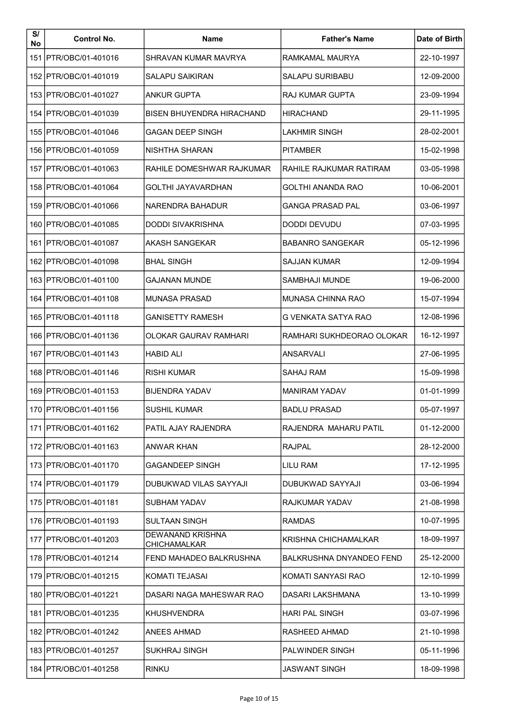| S/<br>No | <b>Control No.</b>      | <b>Name</b>                                    | <b>Father's Name</b>      | Date of Birth |
|----------|-------------------------|------------------------------------------------|---------------------------|---------------|
|          | 151 PTR/OBC/01-401016   | SHRAVAN KUMAR MAVRYA                           | RAMKAMAL MAURYA           | 22-10-1997    |
|          | 152   PTR/OBC/01-401019 | SALAPU SAIKIRAN                                | SALAPU SURIBABU           | 12-09-2000    |
|          | 153   PTR/OBC/01-401027 | <b>ANKUR GUPTA</b>                             | <b>RAJ KUMAR GUPTA</b>    | 23-09-1994    |
|          | 154   PTR/OBC/01-401039 | <b>BISEN BHUYENDRA HIRACHAND</b>               | <b>HIRACHAND</b>          | 29-11-1995    |
|          | 155 PTR/OBC/01-401046   | <b>GAGAN DEEP SINGH</b>                        | LAKHMIR SINGH             | 28-02-2001    |
|          | 156 PTR/OBC/01-401059   | NISHTHA SHARAN                                 | PITAMBER                  | 15-02-1998    |
|          | 157   PTR/OBC/01-401063 | RAHILE DOMESHWAR RAJKUMAR                      | RAHILE RAJKUMAR RATIRAM   | 03-05-1998    |
|          | 158 IPTR/OBC/01-401064  | GOLTHI JAYAVARDHAN                             | GOLTHI ANANDA RAO         | 10-06-2001    |
|          | 159 PTR/OBC/01-401066   | NARENDRA BAHADUR                               | <b>GANGA PRASAD PAL</b>   | 03-06-1997    |
|          | 160 IPTR/OBC/01-401085  | DODDI SIVAKRISHNA                              | DODDI DEVUDU              | 07-03-1995    |
|          | 161   PTR/OBC/01-401087 | <b>AKASH SANGEKAR</b>                          | <b>BABANRO SANGEKAR</b>   | 05-12-1996    |
|          | 162   PTR/OBC/01-401098 | <b>BHAL SINGH</b>                              | <b>SAJJAN KUMAR</b>       | 12-09-1994    |
|          | 163 IPTR/OBC/01-401100  | GAJANAN MUNDE                                  | SAMBHAJI MUNDE            | 19-06-2000    |
|          | 164   PTR/OBC/01-401108 | <b>MUNASA PRASAD</b>                           | <b>MUNASA CHINNA RAO</b>  | 15-07-1994    |
|          | 165   PTR/OBC/01-401118 | <b>GANISETTY RAMESH</b>                        | G VENKATA SATYA RAO       | 12-08-1996    |
|          | 166   PTR/OBC/01-401136 | <b>OLOKAR GAURAV RAMHARI</b>                   | RAMHARI SUKHDEORAO OLOKAR | 16-12-1997    |
|          | 167   PTR/OBC/01-401143 | <b>HABID ALI</b>                               | ANSARVALI                 | 27-06-1995    |
|          | 168   PTR/OBC/01-401146 | <b>RISHI KUMAR</b>                             | <b>SAHAJ RAM</b>          | 15-09-1998    |
|          | 169 IPTR/OBC/01-401153  | <b>BIJENDRA YADAV</b>                          | <b>MANIRAM YADAV</b>      | 01-01-1999    |
|          | 170   PTR/OBC/01-401156 | <b>SUSHIL KUMAR</b>                            | <b>BADLU PRASAD</b>       | 05-07-1997    |
|          | 171   PTR/OBC/01-401162 | PATIL AJAY RAJENDRA                            | RAJENDRA MAHARU PATIL     | 01-12-2000    |
|          | 172 IPTR/OBC/01-401163  | ANWAR KHAN                                     | RAJPAL                    | 28-12-2000    |
|          | 173   PTR/OBC/01-401170 | <b>GAGANDEEP SINGH</b>                         | LILU RAM                  | 17-12-1995    |
|          | 174 PTR/OBC/01-401179   | DUBUKWAD VII AS SAYYAJI                        | <b>DUBUKWAD SAYYAJI</b>   | 03-06-1994    |
|          | 175   PTR/OBC/01-401181 | SUBHAM YADAV                                   | RAJKUMAR YADAV            | 21-08-1998    |
|          | 176 IPTR/OBC/01-401193  | SULTAAN SINGH                                  | RAMDAS                    | 10-07-1995    |
|          | 177   PTR/OBC/01-401203 | <b>DEWANAND KRISHNA</b><br><b>CHICHAMALKAR</b> | KRISHNA CHICHAMALKAR      | 18-09-1997    |
|          | 178   PTR/OBC/01-401214 | FEND MAHADEO BALKRUSHNA                        | BALKRUSHNA DNYANDEO FEND  | 25-12-2000    |
|          | 179   PTR/OBC/01-401215 | KOMATI TEJASAI                                 | KOMATI SANYASI RAO        | 12-10-1999    |
|          | 180   PTR/OBC/01-401221 | DASARI NAGA MAHESWAR RAO                       | DASARI LAKSHMANA          | 13-10-1999    |
|          | 181 IPTR/OBC/01-401235  | <b>KHUSHVENDRA</b>                             | HARI PAL SINGH            | 03-07-1996    |
|          | 182   PTR/OBC/01-401242 | <b>ANEES AHMAD</b>                             | RASHEED AHMAD             | 21-10-1998    |
|          | 183 PTR/OBC/01-401257   | SUKHRAJ SINGH                                  | PALWINDER SINGH           | 05-11-1996    |
|          | 184   PTR/OBC/01-401258 | <b>RINKU</b>                                   | <b>JASWANT SINGH</b>      | 18-09-1998    |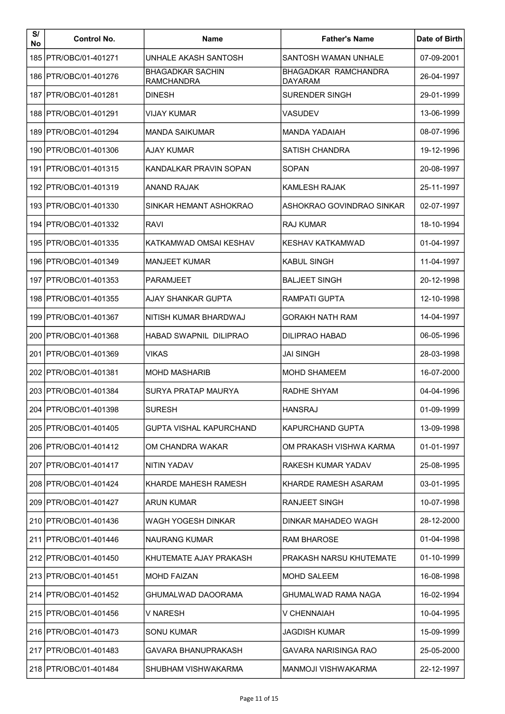| S/<br>No | <b>Control No.</b>      | <b>Name</b>                                  | <b>Father's Name</b>                          | Date of Birth |
|----------|-------------------------|----------------------------------------------|-----------------------------------------------|---------------|
|          | 185   PTR/OBC/01-401271 | UNHALE AKASH SANTOSH                         | SANTOSH WAMAN UNHALE                          | 07-09-2001    |
|          | 186   PTR/OBC/01-401276 | <b>BHAGADKAR SACHIN</b><br><b>RAMCHANDRA</b> | <b>BHAGADKAR RAMCHANDRA</b><br><b>DAYARAM</b> | 26-04-1997    |
|          | 187   PTR/OBC/01-401281 | <b>DINESH</b>                                | SURENDER SINGH                                | 29-01-1999    |
|          | 188   PTR/OBC/01-401291 | VIJAY KUMAR                                  | VASUDEV                                       | 13-06-1999    |
|          | 189 PTR/OBC/01-401294   | <b>MANDA SAIKUMAR</b>                        | MANDA YADAIAH                                 | 08-07-1996    |
|          | 190 PTR/OBC/01-401306   | <b>AJAY KUMAR</b>                            | <b>SATISH CHANDRA</b>                         | 19-12-1996    |
|          | 191   PTR/OBC/01-401315 | KANDALKAR PRAVIN SOPAN                       | <b>SOPAN</b>                                  | 20-08-1997    |
|          | 192   PTR/OBC/01-401319 | <b>ANAND RAJAK</b>                           | <b>KAMLESH RAJAK</b>                          | 25-11-1997    |
|          | 193   PTR/OBC/01-401330 | SINKAR HEMANT ASHOKRAO                       | ASHOKRAO GOVINDRAO SINKAR                     | 02-07-1997    |
|          | 194   PTR/OBC/01-401332 | <b>RAVI</b>                                  | RAJ KUMAR                                     | 18-10-1994    |
|          | 195 PTR/OBC/01-401335   | KATKAMWAD OMSAI KESHAV                       | <b>KESHAV KATKAMWAD</b>                       | 01-04-1997    |
|          | 196   PTR/OBC/01-401349 | <b>MANJEET KUMAR</b>                         | <b>KABUL SINGH</b>                            | 11-04-1997    |
|          | 197   PTR/OBC/01-401353 | <b>PARAMJEET</b>                             | <b>BALJEET SINGH</b>                          | 20-12-1998    |
|          | 198   PTR/OBC/01-401355 | AJAY SHANKAR GUPTA                           | RAMPATI GUPTA                                 | 12-10-1998    |
|          | 199   PTR/OBC/01-401367 | NITISH KUMAR BHARDWAJ                        | <b>GORAKH NATH RAM</b>                        | 14-04-1997    |
|          | 200 IPTR/OBC/01-401368  | HABAD SWAPNIL DILIPRAO                       | DILIPRAO HABAD                                | 06-05-1996    |
|          | 201   PTR/OBC/01-401369 | VIKAS                                        | JAI SINGH                                     | 28-03-1998    |
|          | 202   PTR/OBC/01-401381 | <b>MOHD MASHARIB</b>                         | <b>MOHD SHAMEEM</b>                           | 16-07-2000    |
|          | 203   PTR/OBC/01-401384 | SURYA PRATAP MAURYA                          | RADHE SHYAM                                   | 04-04-1996    |
|          | 204 PTR/OBC/01-401398   | <b>SURESH</b>                                | <b>HANSRAJ</b>                                | 01-09-1999    |
|          | 205   PTR/OBC/01-401405 | GUPTA VISHAL KAPURCHAND                      | KAPURCHAND GUPTA                              | 13-09-1998    |
|          | 206   PTR/OBC/01-401412 | OM CHANDRA WAKAR                             | OM PRAKASH VISHWA KARMA                       | 01-01-1997    |
|          | 207   PTR/OBC/01-401417 | <b>NITIN YADAV</b>                           | RAKESH KUMAR YADAV                            | 25-08-1995    |
|          | 208   PTR/OBC/01-401424 | KHARDE MAHESH RAMESH                         | KHARDE RAMESH ASARAM                          | 03-01-1995    |
|          | 209   PTR/OBC/01-401427 | ARUN KUMAR                                   | RANJEET SINGH                                 | 10-07-1998    |
|          | 210   PTR/OBC/01-401436 | WAGH YOGESH DINKAR                           | DINKAR MAHADEO WAGH                           | 28-12-2000    |
|          | 211 IPTR/OBC/01-401446  | NAURANG KUMAR                                | RAM BHAROSE                                   | 01-04-1998    |
|          | 212   PTR/OBC/01-401450 | KHUTEMATE AJAY PRAKASH                       | PRAKASH NARSU KHUTEMATE                       | 01-10-1999    |
|          | 213   PTR/OBC/01-401451 | <b>MOHD FAIZAN</b>                           | <b>MOHD SALEEM</b>                            | 16-08-1998    |
|          | 214   PTR/OBC/01-401452 | GHUMALWAD DAOORAMA                           | GHUMALWAD RAMA NAGA                           | 16-02-1994    |
|          | 215   PTR/OBC/01-401456 | V NARESH                                     | V CHENNAIAH                                   | 10-04-1995    |
|          | 216   PTR/OBC/01-401473 | <b>SONU KUMAR</b>                            | JAGDISH KUMAR                                 | 15-09-1999    |
|          | 217   PTR/OBC/01-401483 | GAVARA BHANUPRAKASH                          | GAVARA NARISINGA RAO                          | 25-05-2000    |
|          | 218   PTR/OBC/01-401484 | SHUBHAM VISHWAKARMA                          | <b>MANMOJI VISHWAKARMA</b>                    | 22-12-1997    |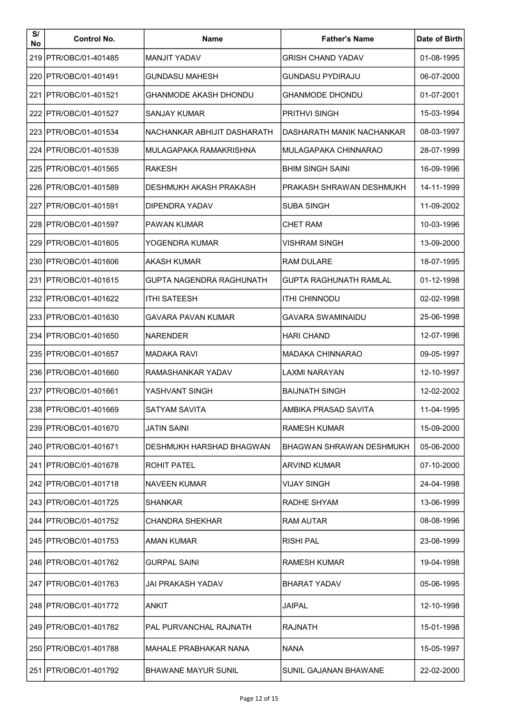| S/<br>No | <b>Control No.</b>      | <b>Name</b>                  | <b>Father's Name</b>      | Date of Birth |
|----------|-------------------------|------------------------------|---------------------------|---------------|
|          | 219 PTR/OBC/01-401485   | MANJIT YADAV                 | <b>GRISH CHAND YADAV</b>  | 01-08-1995    |
|          | 220   PTR/OBC/01-401491 | <b>GUNDASU MAHESH</b>        | <b>GUNDASU PYDIRAJU</b>   | 06-07-2000    |
|          | 221   PTR/OBC/01-401521 | GHANMODE AKASH DHONDU        | <b>GHANMODE DHONDU</b>    | 01-07-2001    |
|          | 222 PTR/OBC/01-401527   | SANJAY KUMAR                 | <b>PRITHVI SINGH</b>      | 15-03-1994    |
|          | 223 PTR/OBC/01-401534   | NACHANKAR ABHIJIT DASHARATH  | DASHARATH MANIK NACHANKAR | 08-03-1997    |
|          | 224   PTR/OBC/01-401539 | MULAGAPAKA RAMAKRISHNA       | MULAGAPAKA CHINNARAO      | 28-07-1999    |
|          | 225   PTR/OBC/01-401565 | <b>RAKESH</b>                | <b>BHIM SINGH SAINI</b>   | 16-09-1996    |
|          | 226 IPTR/OBC/01-401589  | DESHMUKH AKASH PRAKASH       | PRAKASH SHRAWAN DESHMUKH  | 14-11-1999    |
|          | 227   PTR/OBC/01-401591 | DIPENDRA YADAV               | SUBA SINGH                | 11-09-2002    |
|          | 228 IPTR/OBC/01-401597  | <b>PAWAN KUMAR</b>           | CHET RAM                  | 10-03-1996    |
|          | 229   PTR/OBC/01-401605 | YOGENDRA KUMAR               | <b>VISHRAM SINGH</b>      | 13-09-2000    |
|          | 230   PTR/OBC/01-401606 | <b>AKASH KUMAR</b>           | <b>RAM DULARE</b>         | 18-07-1995    |
|          | 231   PTR/OBC/01-401615 | GUPTA NAGENDRA RAGHUNATH     | GUPTA RAGHUNATH RAMLAL    | 01-12-1998    |
|          | 232   PTR/OBC/01-401622 | <b>ITHI SATEESH</b>          | ITHI CHINNODU             | 02-02-1998    |
|          | 233   PTR/OBC/01-401630 | GAVARA PAVAN KUMAR           | GAVARA SWAMINAIDU         | 25-06-1998    |
|          | 234   PTR/OBC/01-401650 | <b>NARENDER</b>              | <b>HARI CHAND</b>         | 12-07-1996    |
|          | 235   PTR/OBC/01-401657 | <b>MADAKA RAVI</b>           | <b>MADAKA CHINNARAO</b>   | 09-05-1997    |
|          | 236 PTR/OBC/01-401660   | RAMASHANKAR YADAV            | LAXMI NARAYAN             | 12-10-1997    |
|          | 237 IPTR/OBC/01-401661  | YASHVANT SINGH               | BAIJNATH SINGH            | 12-02-2002    |
|          | 238 PTR/OBC/01-401669   | SATYAM SAVITA                | AMBIKA PRASAD SAVITA      | 11-04-1995    |
|          | 239   PTR/OBC/01-401670 | <b>JATIN SAINI</b>           | <b>RAMESH KUMAR</b>       | 15-09-2000    |
|          | 240   PTR/OBC/01-401671 | DESHMUKH HARSHAD BHAGWAN     | BHAGWAN SHRAWAN DESHMUKH  | 05-06-2000    |
|          | 241   PTR/OBC/01-401678 | ROHIT PATEL                  | <b>ARVIND KUMAR</b>       | 07-10-2000    |
|          | 242 IPTR/OBC/01-401718  | NAVEEN KUMAR                 | <b>VIJAY SINGH</b>        | 24-04-1998    |
|          | 243 PTR/OBC/01-401725   | SHANKAR                      | RADHE SHYAM               | 13-06-1999    |
|          | 244   PTR/OBC/01-401752 | <b>CHANDRA SHEKHAR</b>       | <b>RAM AUTAR</b>          | 08-08-1996    |
|          | 245   PTR/OBC/01-401753 | <b>AMAN KUMAR</b>            | RISHI PAL                 | 23-08-1999    |
|          | 246 IPTR/OBC/01-401762  | <b>GURPAL SAINI</b>          | RAMESH KUMAR              | 19-04-1998    |
|          | 247 IPTR/OBC/01-401763  | JAI PRAKASH YADAV            | BHARAT YADAV              | 05-06-1995    |
|          | 248   PTR/OBC/01-401772 | ANKIT                        | JAIPAL                    | 12-10-1998    |
|          | 249   PTR/OBC/01-401782 | PAL PURVANCHAL RAJNATH       | RAJNATH                   | 15-01-1998    |
|          | 250   PTR/OBC/01-401788 | <b>MAHALE PRABHAKAR NANA</b> | NANA                      | 15-05-1997    |
|          | 251   PTR/OBC/01-401792 | <b>BHAWANE MAYUR SUNIL</b>   | SUNIL GAJANAN BHAWANE     | 22-02-2000    |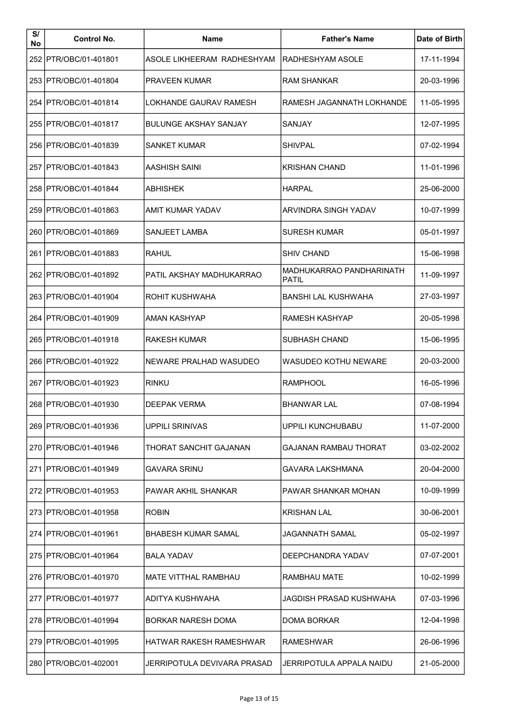| S/<br>No | <b>Control No.</b>      | <b>Name</b>                  | <b>Father's Name</b>              | Date of Birth |
|----------|-------------------------|------------------------------|-----------------------------------|---------------|
|          | 252 PTR/OBC/01-401801   | ASOLE LIKHEERAM RADHESHYAM   | RADHESHYAM ASOLE                  | 17-11-1994    |
|          | 253   PTR/OBC/01-401804 | <b>PRAVEEN KUMAR</b>         | <b>RAM SHANKAR</b>                | 20-03-1996    |
|          | 254   PTR/OBC/01-401814 | LOKHANDE GAURAV RAMESH       | RAMESH JAGANNATH LOKHANDE         | 11-05-1995    |
|          | 255   PTR/OBC/01-401817 | <b>BULUNGE AKSHAY SANJAY</b> | SANJAY                            | 12-07-1995    |
|          | 256 PTR/OBC/01-401839   | SANKET KUMAR                 | <b>SHIVPAL</b>                    | 07-02-1994    |
|          | 257   PTR/OBC/01-401843 | AASHISH SAINI                | <b>KRISHAN CHAND</b>              | 11-01-1996    |
|          | 258   PTR/OBC/01-401844 | <b>ABHISHEK</b>              | <b>HARPAL</b>                     | 25-06-2000    |
|          | 259   PTR/OBC/01-401863 | AMIT KUMAR YADAV             | ARVINDRA SINGH YADAV              | 10-07-1999    |
|          | 260   PTR/OBC/01-401869 | SANJEET LAMBA                | <b>SURESH KUMAR</b>               | 05-01-1997    |
|          | 261   PTR/OBC/01-401883 | RAHUL                        | SHIV CHAND                        | 15-06-1998    |
|          | 262   PTR/OBC/01-401892 | PATIL AKSHAY MADHUKARRAO     | MADHUKARRAO PANDHARINATH<br>PATIL | 11-09-1997    |
|          | 263   PTR/OBC/01-401904 | ROHIT KUSHWAHA               | <b>BANSHI LAL KUSHWAHA</b>        | 27-03-1997    |
|          | 264   PTR/OBC/01-401909 | AMAN KASHYAP                 | RAMESH KASHYAP                    | 20-05-1998    |
|          | 265   PTR/OBC/01-401918 | <b>RAKESH KUMAR</b>          | <b>SUBHASH CHAND</b>              | 15-06-1995    |
|          | 266   PTR/OBC/01-401922 | NEWARE PRALHAD WASUDEO       | WASUDEO KOTHU NEWARE              | 20-03-2000    |
|          | 267   PTR/OBC/01-401923 | <b>RINKU</b>                 | <b>RAMPHOOL</b>                   | 16-05-1996    |
|          | 268   PTR/OBC/01-401930 | <b>DEEPAK VERMA</b>          | IBHANWAR LAL                      | 07-08-1994    |
|          | 269   PTR/OBC/01-401936 | UPPILI SRINIVAS              | UPPILI KUNCHUBABU                 | 11-07-2000    |
|          | 270   PTR/OBC/01-401946 | THORAT SANCHIT GAJANAN       | GAJANAN RAMBAU THORAT             | 03-02-2002    |
|          | 271 IPTR/OBC/01-401949  | GAVARA SRINU                 | GAVARA LAKSHMANA                  | 20-04-2000    |
|          | 272 PTR/OBC/01-401953   | PAWAR AKHIL SHANKAR          | PAWAR SHANKAR MOHAN               | 10-09-1999    |
|          | 273 IPTR/OBC/01-401958  | <b>ROBIN</b>                 | KRISHAN LAL                       | 30-06-2001    |
|          | 274 IPTR/OBC/01-401961  | <b>BHABESH KUMAR SAMAL</b>   | JAGANNATH SAMAL                   | 05-02-1997    |
|          | 275 IPTR/OBC/01-401964  | <b>BALA YADAV</b>            | DEEPCHANDRA YADAV                 | 07-07-2001    |
|          | 276   PTR/OBC/01-401970 | MATE VITTHAL RAMBHAU         | RAMBHAU MATE                      | 10-02-1999    |
|          | 277   PTR/OBC/01-401977 | ADITYA KUSHWAHA              | JAGDISH PRASAD KUSHWAHA           | 07-03-1996    |
|          | 278   PTR/OBC/01-401994 | BORKAR NARESH DOMA           | DOMA BORKAR                       | 12-04-1998    |
|          | 279 IPTR/OBC/01-401995  | HATWAR RAKESH RAMESHWAR      | RAMESHWAR                         | 26-06-1996    |
|          | 280   PTR/OBC/01-402001 | JERRIPOTULA DEVIVARA PRASAD  | JERRIPOTULA APPALA NAIDU          | 21-05-2000    |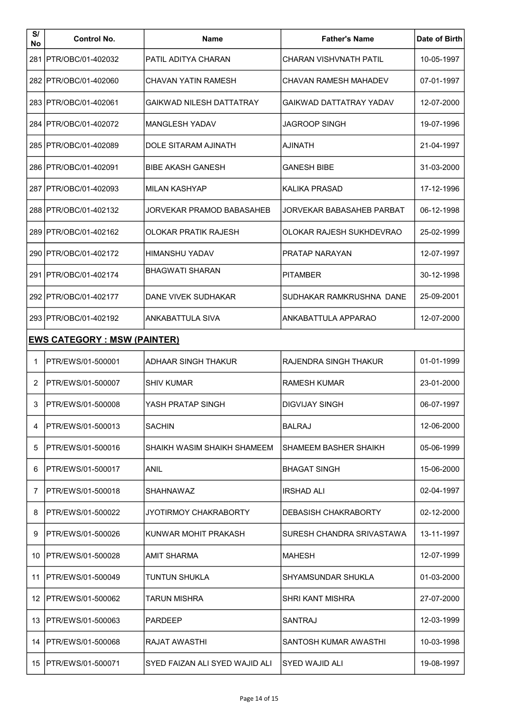| S/<br>No | <b>Control No.</b>                   | <b>Name</b>                    | <b>Father's Name</b>      | Date of Birth |  |  |  |
|----------|--------------------------------------|--------------------------------|---------------------------|---------------|--|--|--|
|          | 281 PTR/OBC/01-402032                | PATIL ADITYA CHARAN            | CHARAN VISHVNATH PATIL    | 10-05-1997    |  |  |  |
|          | 282   PTR/OBC/01-402060              | <b>CHAVAN YATIN RAMESH</b>     | CHAVAN RAMESH MAHADEV     | 07-01-1997    |  |  |  |
|          | 283   PTR/OBC/01-402061              | GAIKWAD NILESH DATTATRAY       | GAIKWAD DATTATRAY YADAV   | 12-07-2000    |  |  |  |
|          | 284   PTR/OBC/01-402072              | <b>MANGLESH YADAV</b>          | <b>JAGROOP SINGH</b>      | 19-07-1996    |  |  |  |
|          | 285   PTR/OBC/01-402089              | DOLE SITARAM AJINATH           | AJINATH                   | 21-04-1997    |  |  |  |
|          | 286   PTR/OBC/01-402091              | <b>BIBE AKASH GANESH</b>       | <b>GANESH BIBE</b>        | 31-03-2000    |  |  |  |
|          | 287 IPTR/OBC/01-402093               | <b>MILAN KASHYAP</b>           | KALIKA PRASAD             | 17-12-1996    |  |  |  |
|          | 288   PTR/OBC/01-402132              | JORVEKAR PRAMOD BABASAHEB      | JORVEKAR BABASAHEB PARBAT | 06-12-1998    |  |  |  |
|          | 289 IPTR/OBC/01-402162               | OLOKAR PRATIK RAJESH           | OLOKAR RAJESH SUKHDEVRAO  | 25-02-1999    |  |  |  |
|          | 290   PTR/OBC/01-402172              | <b>HIMANSHU YADAV</b>          | <b>PRATAP NARAYAN</b>     | 12-07-1997    |  |  |  |
|          | 291   PTR/OBC/01-402174              | <b>BHAGWATI SHARAN</b>         | <b>PITAMBER</b>           | 30-12-1998    |  |  |  |
|          | 292   PTR/OBC/01-402177              | DANE VIVEK SUDHAKAR            | SUDHAKAR RAMKRUSHNA DANE  | 25-09-2001    |  |  |  |
|          | 293   PTR/OBC/01-402192              | <b>ANKABATTULA SIVA</b>        | ANKABATTULA APPARAO       | 12-07-2000    |  |  |  |
|          | <u> EWS CATEGORY : MSW (PAINTER)</u> |                                |                           |               |  |  |  |
| 1        | PTR/EWS/01-500001                    | <b>ADHAAR SINGH THAKUR</b>     | RAJENDRA SINGH THAKUR     | 01-01-1999    |  |  |  |
| 2        | PTR/EWS/01-500007                    | <b>SHIV KUMAR</b>              | RAMESH KUMAR              | 23-01-2000    |  |  |  |
| 3        | PTR/EWS/01-500008                    | YASH PRATAP SINGH              | DIGVIJAY SINGH            | 06-07-1997    |  |  |  |
| 4        | PTR/EWS/01-500013                    | <b>SACHIN</b>                  | <b>BALRAJ</b>             | 12-06-2000    |  |  |  |
| 5        | PTR/EWS/01-500016                    | SHAIKH WASIM SHAIKH SHAMEEM    | SHAMEEM BASHER SHAIKH     | 05-06-1999    |  |  |  |
| 6        | IPTR/EWS/01-500017                   | <b>ANIL</b>                    | BHAGAT SINGH              | 15-06-2000    |  |  |  |
| 7        | PTR/EWS/01-500018                    | <b>SHAHNAWAZ</b>               | IRSHAD ALI                | 02-04-1997    |  |  |  |
| 8        | IPTR/EWS/01-500022                   | JYOTIRMOY CHAKRABORTY          | DEBASISH CHAKRABORTY      | 02-12-2000    |  |  |  |
| 9        | PTR/EWS/01-500026                    | KUNWAR MOHIT PRAKASH           | SURESH CHANDRA SRIVASTAWA | 13-11-1997    |  |  |  |
|          | 10   PTR/EWS/01-500028               | <b>AMIT SHARMA</b>             | <b>MAHESH</b>             | 12-07-1999    |  |  |  |
| 11       | <b>IPTR/EWS/01-500049</b>            | TUNTUN SHUKLA                  | SHYAMSUNDAR SHUKLA        | 01-03-2000    |  |  |  |
|          | 12 IPTR/EWS/01-500062                | TARUN MISHRA                   | SHRI KANT MISHRA          | 27-07-2000    |  |  |  |
| 13       | IPTR/EWS/01-500063                   | <b>PARDEEP</b>                 | SANTRAJ                   | 12-03-1999    |  |  |  |
|          | 14 IPTR/EWS/01-500068                | RAJAT AWASTHI                  | SANTOSH KUMAR AWASTHI     | 10-03-1998    |  |  |  |
|          | 15 IPTR/EWS/01-500071                | SYED FAIZAN ALI SYED WAJID ALI | SYED WAJID ALI            | 19-08-1997    |  |  |  |